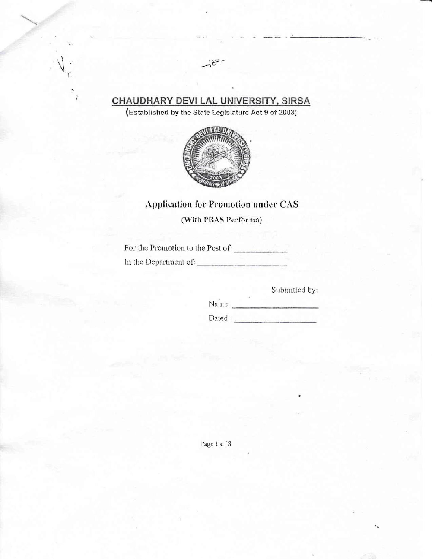CHAUDHARY DEVI LAL UNIVERSITY, SIRSA

 $\tilde{\mathcal{L}}$ 

 $-189 -$ 

(Established by the State Legislature Act 9 of 2003)



## **Application for Promotion under CAS**

(With PBAS Performa)

For the Promotion to the Post of: In the Department of:

Submitted by:

Name:

Page 1 of 8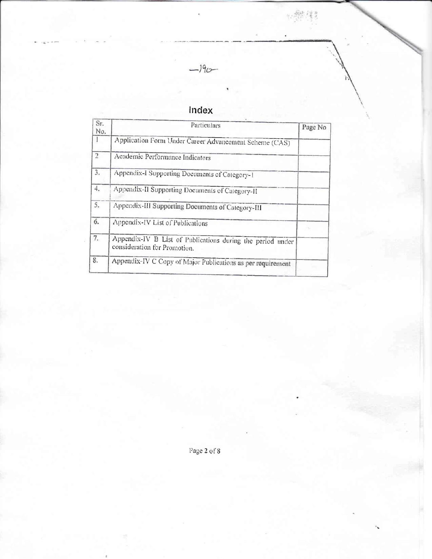| Index |  |  |  |  |
|-------|--|--|--|--|
|-------|--|--|--|--|

 $-190 -$ 

| Sr.<br>No. | Particulars                                                                                | Page No |
|------------|--------------------------------------------------------------------------------------------|---------|
|            | Application Form Under Career Advancement Scheme (CAS)                                     |         |
| $\sqrt{2}$ | Academic Performance Indicators                                                            |         |
| 3.         | Appendix-I Supporting Documents of Category-1                                              |         |
| 4.         | Appendix-II Supporting Documents of Category-II                                            |         |
| 5.         | Appendix-III Supporting Documents of Category-III                                          |         |
| 6.         | Appendix-IV List of Publications                                                           |         |
| 7.         | Appendix-IV B List of Publications during the period under<br>consideration for Promotion. |         |
| 8.         | Appendix-IV C Copy of Major Publications as per requirement                                |         |

Page 2 of  $\bar{8}$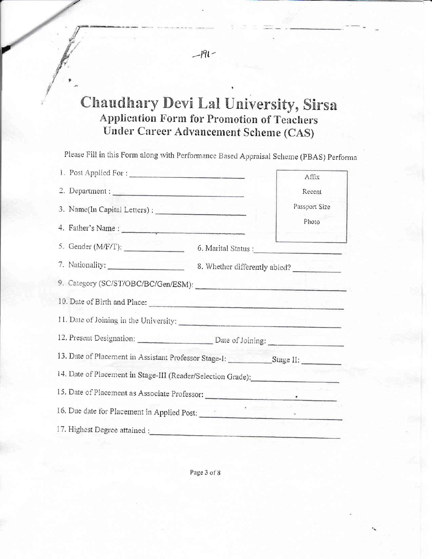# Chaudhary Devi Lal University, Sirsa<br>Application Form for Promotion of Teachers Under Career Advancement Scheme (CAS)

Please Fill in this Form along with Performance Based Appraisal Scheme (PBAS) Performa

|                                                  | Affix                                                                            |  |  |  |
|--------------------------------------------------|----------------------------------------------------------------------------------|--|--|--|
|                                                  | Recent                                                                           |  |  |  |
|                                                  | Passport Size                                                                    |  |  |  |
|                                                  | Photo                                                                            |  |  |  |
| 5. Gender (M/F/T):                               | 6. Marital Status :                                                              |  |  |  |
| 7. Nationality:<br>8. Whether differently abled? |                                                                                  |  |  |  |
| 9. Category (SC/ST/OBC/BC/Gen/ESM):              |                                                                                  |  |  |  |
| 10. Date of Birth and Place:                     |                                                                                  |  |  |  |
|                                                  | 11. Date of Joining in the University:                                           |  |  |  |
|                                                  | 12. Present Designation: Date of Joining: 2021                                   |  |  |  |
|                                                  | 13. Date of Placement in Assistant Professor Stage-I: __________________________ |  |  |  |
|                                                  | 14. Date of Placement in Stage-III (Reader/Selection Grade):                     |  |  |  |
|                                                  | 15. Date of Placement as Associate Professor: __________________________________ |  |  |  |
| 16. Due date for Placement in Applied Post:      |                                                                                  |  |  |  |
| 17. Highest Degree attained :                    |                                                                                  |  |  |  |

Page 3 of 8

 $-H1 -$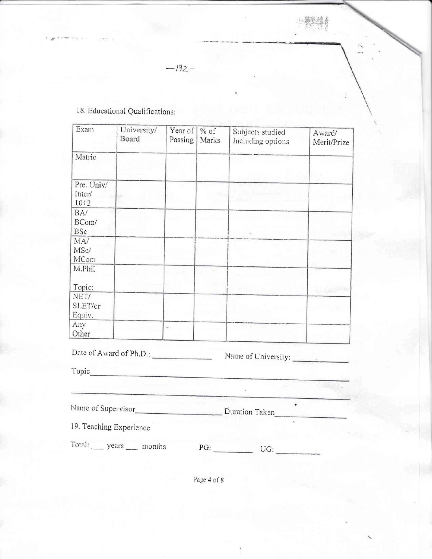$-192 -$ 

18. Educational Qualifications:

| Exam                             | University/<br>Board                                                                                                                                                                                                           | Year of   % of<br>Passing   Marks | Subjects studied<br>Including options      | Award/<br>Merit/Prize |
|----------------------------------|--------------------------------------------------------------------------------------------------------------------------------------------------------------------------------------------------------------------------------|-----------------------------------|--------------------------------------------|-----------------------|
| Matric                           |                                                                                                                                                                                                                                |                                   |                                            |                       |
| Pre. Univ/<br>Inter/<br>$10 + 2$ |                                                                                                                                                                                                                                |                                   |                                            |                       |
| BA/<br>BCom/<br><b>BSc</b>       |                                                                                                                                                                                                                                |                                   |                                            |                       |
| MA/<br>MSc/<br>MCom              |                                                                                                                                                                                                                                |                                   |                                            |                       |
| M.Phil<br>Topic:                 |                                                                                                                                                                                                                                |                                   |                                            |                       |
| NET/<br>SLET/or<br>Equiv.        |                                                                                                                                                                                                                                |                                   |                                            |                       |
| Any<br>Other                     |                                                                                                                                                                                                                                | $\star$                           |                                            |                       |
|                                  | Date of Award of Ph.D.:                                                                                                                                                                                                        |                                   | Name of University:                        |                       |
|                                  | Topic Communication of the Communication of the Communication of the Communication of the Communication of the Communication of the Communication of the Communication of the Communication of the Communication of the Commun |                                   |                                            |                       |
|                                  |                                                                                                                                                                                                                                |                                   | $\ddot{\phantom{1}}$<br>Name of Supervisor |                       |
| 19. Teaching Experience          |                                                                                                                                                                                                                                |                                   |                                            |                       |
| Total: years months              |                                                                                                                                                                                                                                |                                   | PG:<br>UG:                                 |                       |

Page 4 of 8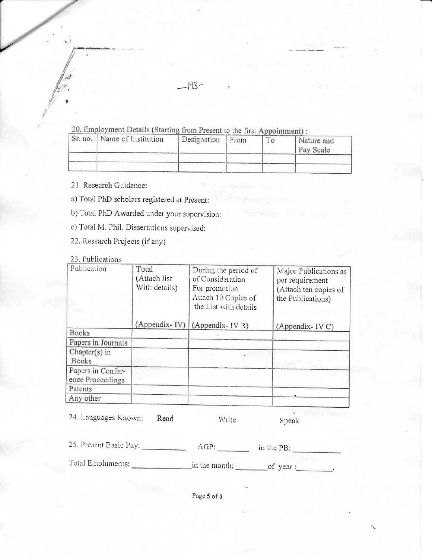20. Employment Details (Starting from Present to the first Appointment) :

21. Research Guidance:

a) Total PhD scholars registered at Present:

b) Total PhD Awarded under your supervision:

c) Total M. Phil. Dissertations supervised:

22. Research Projects (if any)

#### 23. Publications

| Publication                           | Total<br>(Attach list<br>With details)<br>(Appendix-IV) | During the period of<br>of Consideration<br>For promotion<br>Attach 10 Copies of<br>the List with details | Major Publications as<br>per requirement<br>(Attach ten copies of<br>the Publications) |
|---------------------------------------|---------------------------------------------------------|-----------------------------------------------------------------------------------------------------------|----------------------------------------------------------------------------------------|
| <b>Books</b>                          |                                                         | (Appendix - IV B)                                                                                         | (Appendix-IVC)                                                                         |
| Papers in Journals                    |                                                         |                                                                                                           |                                                                                        |
| Chapter(s) in<br><b>Books</b>         |                                                         |                                                                                                           |                                                                                        |
| Papers in Confer-<br>ence Proceedings |                                                         |                                                                                                           |                                                                                        |
| Patents                               |                                                         |                                                                                                           |                                                                                        |
| Any other                             |                                                         |                                                                                                           |                                                                                        |

24. Languages Known: Read Write Speak

25. Present Basic Pay: AGP: in the PB:

Page 5 of 8

٠.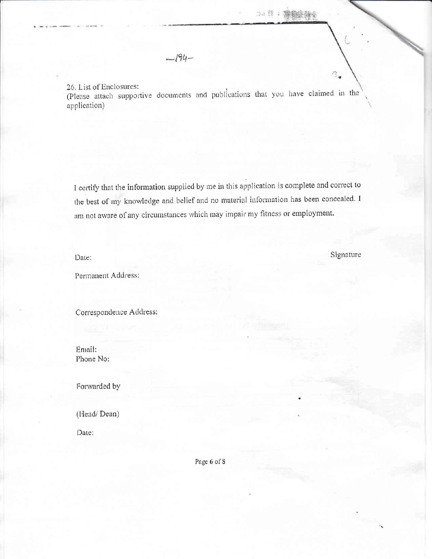26. List of Enclosures:

(Please attach supportive documents and publications that you have claimed in the application)

 $-194-$ 

I certify that the information supplied by me in this application is complete and correct to the best of my knowledge and belief and no material information has been concealed. I am not aware of any circumstances which may impair my fitness or employment.

Date:

Signature

 $\hat{\alpha}_{\mathbf{q}}$ 

Permanent Address:

Correspondence Address:

Email: Phone No:

Forwarded by

(Head/Dean)

Date:

Page 6 of 8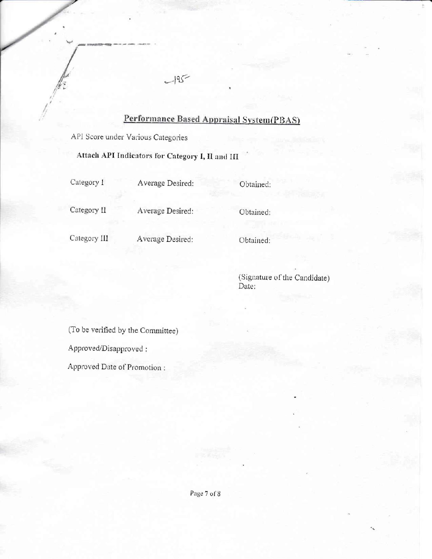## Performance Based Appraisal System(PBAS)

API Score under Various Categories

### Attach API Indicators for Category I, II and III

Category I

Average Desired:

 $-195$ 

Obtained:

Category II

Average Desired:

Obtained:

Category III

Average Desired:

Obtained:

(Signature of the Candidate) Date:

(To be verified by the Committee)

Approved/Disapproved:

Approved Date of Promotion :

Page 7 of 8